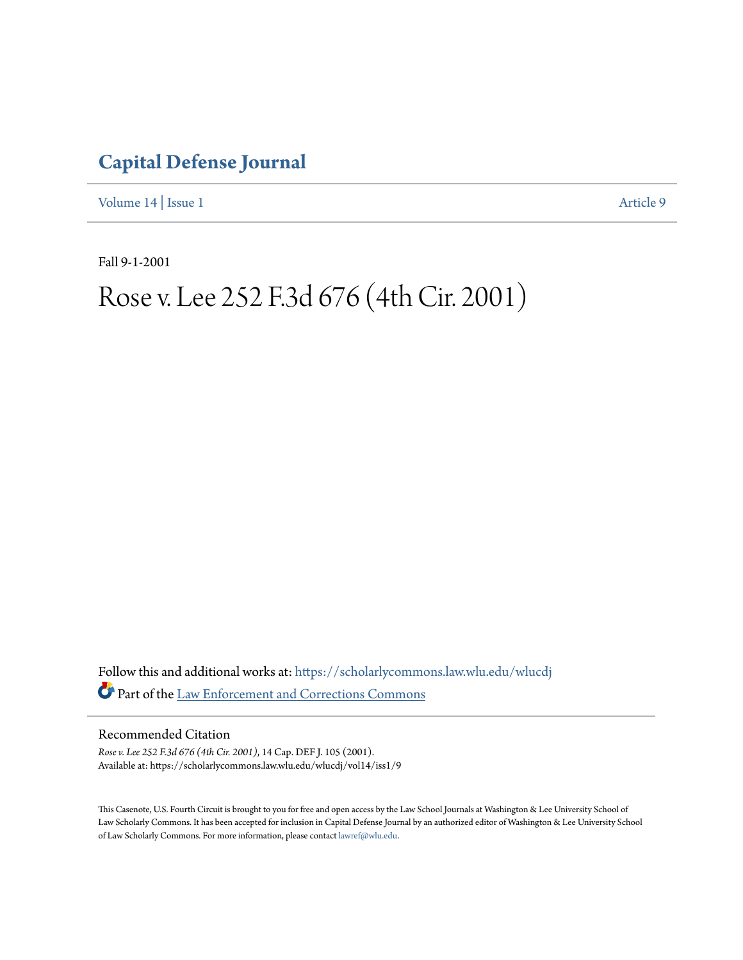## **[Capital Defense Journal](https://scholarlycommons.law.wlu.edu/wlucdj?utm_source=scholarlycommons.law.wlu.edu%2Fwlucdj%2Fvol14%2Fiss1%2F9&utm_medium=PDF&utm_campaign=PDFCoverPages)**

[Volume 14](https://scholarlycommons.law.wlu.edu/wlucdj/vol14?utm_source=scholarlycommons.law.wlu.edu%2Fwlucdj%2Fvol14%2Fiss1%2F9&utm_medium=PDF&utm_campaign=PDFCoverPages) | [Issue 1](https://scholarlycommons.law.wlu.edu/wlucdj/vol14/iss1?utm_source=scholarlycommons.law.wlu.edu%2Fwlucdj%2Fvol14%2Fiss1%2F9&utm_medium=PDF&utm_campaign=PDFCoverPages) [Article 9](https://scholarlycommons.law.wlu.edu/wlucdj/vol14/iss1/9?utm_source=scholarlycommons.law.wlu.edu%2Fwlucdj%2Fvol14%2Fiss1%2F9&utm_medium=PDF&utm_campaign=PDFCoverPages)

Fall 9-1-2001

# Rose v. Lee 252 F.3d 676 (4th Cir. 2001)

Follow this and additional works at: [https://scholarlycommons.law.wlu.edu/wlucdj](https://scholarlycommons.law.wlu.edu/wlucdj?utm_source=scholarlycommons.law.wlu.edu%2Fwlucdj%2Fvol14%2Fiss1%2F9&utm_medium=PDF&utm_campaign=PDFCoverPages) Part of the [Law Enforcement and Corrections Commons](http://network.bepress.com/hgg/discipline/854?utm_source=scholarlycommons.law.wlu.edu%2Fwlucdj%2Fvol14%2Fiss1%2F9&utm_medium=PDF&utm_campaign=PDFCoverPages)

## Recommended Citation

*Rose v. Lee 252 F.3d 676 (4th Cir. 2001)*, 14 Cap. DEF J. 105 (2001). Available at: https://scholarlycommons.law.wlu.edu/wlucdj/vol14/iss1/9

This Casenote, U.S. Fourth Circuit is brought to you for free and open access by the Law School Journals at Washington & Lee University School of Law Scholarly Commons. It has been accepted for inclusion in Capital Defense Journal by an authorized editor of Washington & Lee University School of Law Scholarly Commons. For more information, please contact [lawref@wlu.edu.](mailto:lawref@wlu.edu)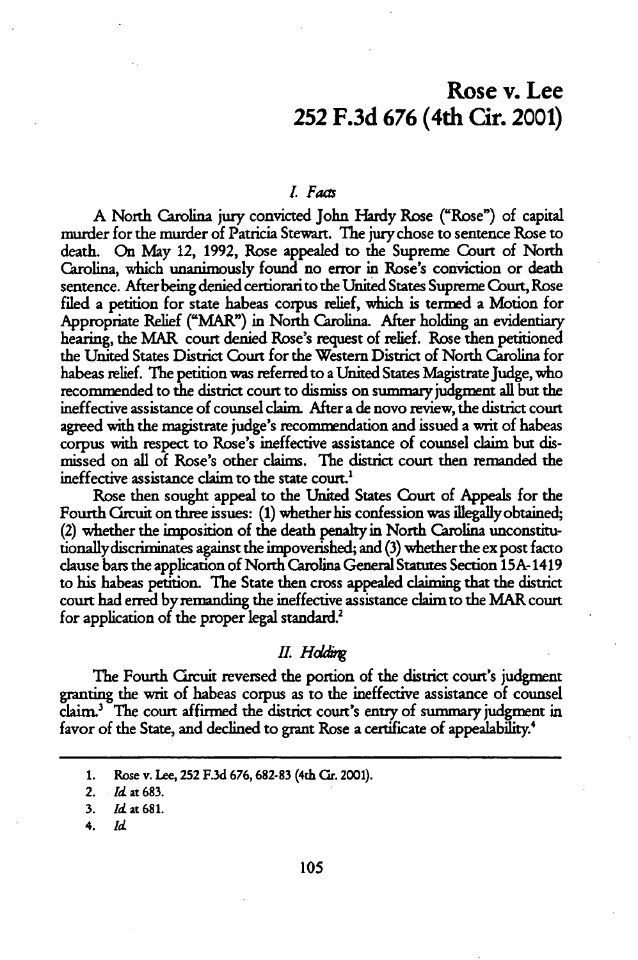## Rose v. Lee **252 F.3d 676** (4th Cir. 2001)

#### *L Fas*

A North Carolina jury convicted John **Hardy** Rose ("Rose") of capital murder for the murder of Patricia Stewart. The jury chose to sentence Rose to death. On **May** 12, 1992, Rose appealed to the Supreme Court of North Carolina, which unanimously found no error in Rose's conviction or death sentence. After being denied certiorari to the United States Supreme Court, Rose filed a petition for state habeas corpus relief, which is termed a Motion for Appropriate Relief ("MAR") in North Carolina. After holding an evidentiary hearing, the MAR court denied Rose's request of relief. Rose then petitioned the United States District Court for the Western District of North Carolina for habeas relief. The petition was referred to a United States Magistrate Judge, who recommended to the district court to dismiss on summary judgment all but the ineffective assistance of counsel claim. After a de novo review, the district court agreed with the magistrate judge's recommendation and issued a writ of habeas corpus with respect to Rose's ineffective assistance of counsel claim but dismissed on all of Rose's other claims. The district court then remanded the ineffective assistance **claim** to the state court.'

Rose then sought appeal to the United States Court of Appeals for the Fourth Crcuit on three issues: (1) whether his confession was illegally obtained, (2) whether the imposition of the death penalty in North Carolina unconstitutionallydiscriminates against the impoverished; and (3) whether the ex post facto clause bars the application of North Carolina General Statutes Section 15A- 1419 to his habeas petition. The State then cross appealed claiming that the district court had erred by remanding the ineffective assistance claim to the MAR court for application of the proper legal standard.<sup>2</sup>

#### *II.* Hddin

The Fourth Grcuit reversed the portion of the district court's judgment granting the writ of habeas corpus as to the ineffective assistance of counsel claim.3 The court affirmed the district court's entry of summary judgment in favor of the State, and declined to grant Rose a certificate of appealability.<sup>4</sup>

4. *Id*

**<sup>1.</sup>** Rose v. Lee, **252 F3d 676,682-83** (4th **Car.** 2001).

<sup>2.</sup> Id at 683.

<sup>3.</sup> **Id** at **681.**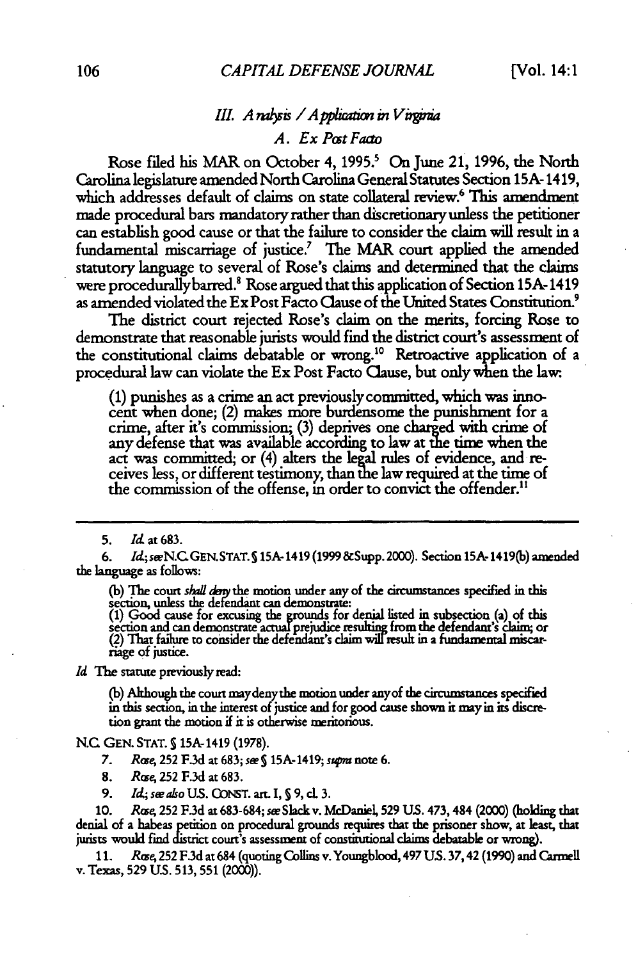## *III. A ralysis / A pplication in Virginia*

*A. Ex Post Facto*

Rose filed his MAR on October 4, **1995?** On June 21, **1996,** the North Carolina legislature amended North Carolina General Statutes Section **15A-** 1419, which addresses default of claims on state collateral review.<sup>6</sup> This amendment made procedural bars mandatory rather than discretionaryunless the petitioner can establish good cause or that the failure to consider the claim will result in a fundamental miscarriage of justice.<sup>7</sup> The MAR court applied the amended statutory language to several of Rose's claims and determined that the claims were procedurally barred.<sup>8</sup> Rose argued that this application of Section 15A-1419 as amended violated the ExPost Facto Clause of the United States Constitution. $^9$ 

The district court rejected Rose's claim on the merits, forcing Rose to demonstrate that reasonable jurists would find the district court's assessment of the constitutional claims debatable or wrong.'0 Retroactive application of a procedural law can violate the Ex Post Facto Cause, but only when the law.

(1) punishes as a crime an act previously committed, which was innocent when done; (2) makes more burdensome the punishment for a crime, after it's commission; (3) deprives one charged with crime of any defense that was available according to law at the time when the act was committed, or (4) alters the **legal** rules of evidence, and receives less, or different testimony, than the law required at the time of the commission of the offense, **in** order to convict the offender."

**5.** *Id.* at 683.

**6.** *Id;seN.C* GEN.STAT.S 15A- 1419 (1999 &Supp. 2000). Section 15A- 1419(b) amended the language as follows:

**(b) The** court *shad* the motion under any of the circumstances specified in this section, unless the defendant can demonstrate:

**(1)** Good cause for excusing the grounds for denial listed in subsection (a) of this section and can demonstrate actual prejudice resulting from the defendant's claim; or<br>(2) That failure to consider the defendant's claim will result in a fundamental miscariage **of** justice.

*Id* The statute previously read:

**(b)** Although the court maydenythe motion under anyof the circumstances specified in this section, in the interest of justice and for good cause shown it **mayin** its discretion grant the motion if it is otherwise meritorious.

**N.C** GEN. STAT. **S** 15A-1419 (1978).

- 7. *Rco4* 252 **F3d** at 683; *swS 15A-* 1419; *s* note 6.
- 8. *Rose*, 252 F.3d at 683.
- 9. *Id; s aho US.* GO)NT. art. I, **S** 9, cL 3.

10. *Rrze,* 252 **F.3d** at 683-684; *see Slack* v. McDaniel, 529 US. 473, 484 (2000) (holding that denial of a habeas petition on procedural grounds requires that the prisoner show, at least, that jurists would find district court's assessment of constitutional claims debatable or wrong).

11. *Rcse,* 252 **F.3d** at 684 (quoting Collins v. Youngblood, 497 US. 37,42 (1990) and Carmell v. Texas, 529 **U.S.** 513, 551 (2000)).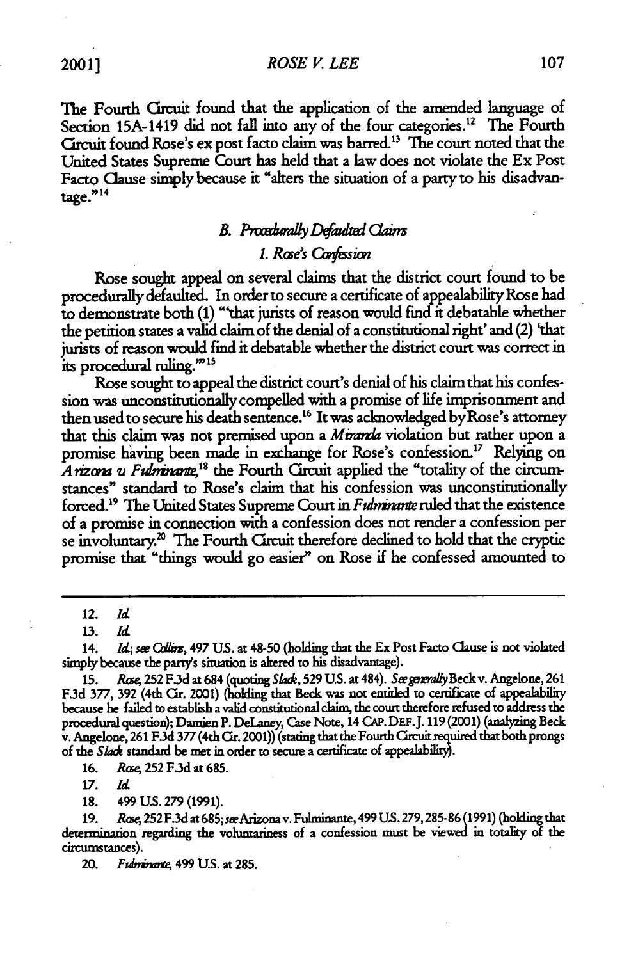*ROSE V. LEE*

The Fourth Crcuit found that the application of the amended language of Section 15A-1419 did not fall into any of the four categories.<sup>12</sup> The Fourth Crcuit found Rose's ex post facto claim was barred." The court noted that the United States Supreme Court has held that a law does not violate the Ex Post Facto Clause simply because it "alters the situation of a party to his disadvantage."<sup>14</sup>

## **B.** Procedurally Defaulted Claims

## *1. Rze's* **Cafsion**

Rose sought appeal on several claims that the district court found to be procedurally defaulted. In order to secure a certificate of appealability Rose had to demonstrate both (1) "that jurists of reason would find it debatable whether the petition states a valid claim of the denial of a constitutional right' and (2) 'that jurists of reason would find it debatable whether the district court was correct in its procedural ruling."<sup>15</sup>

Rose sought to appeal the district court's denial of his claim that his confession was unconstitutionallycompelled with a promise of life imprisonment and then used to secure his death sentence.<sup>16</sup> It was acknowledged by Rose's attorney that this claim was not premised upon a Miranda violation but rather upon a promise having been made in exchange for Rose's confession.<sup>17</sup> Relying on Arizona v Fulminante,<sup>18</sup> the Fourth Circuit applied the "totality of the circumstances" standard to Rose's claim that his confession was unconstitutionally forced.<sup>19</sup> The United States Supreme Court in *Fulminante* ruled that the existence of a promise in connection with a confession does not render a confession per se involuntary.<sup>20</sup> The Fourth Circuit therefore declined to hold that the cryptic promise that "things would go easier" on Rose if he confessed amounted to

14. *Id; see Collins*, 497 U.S. at 48-50 (holding that the Ex Post Facto Clause is not violated simply because the party's situation is altered to his disadvantage).

**15.** *Rae,* **252 F.3d** at 684 (quoting Sad, **529 US.** at 484). SwgurnyBeck v. Angelone, 261 F.3d 377, 392 (4th Cir. 2001) (holding that Beck was not entitled to certificate of appealability because he failed to establish a valid constitutional claim, the court therefore refused to address the procedural question); Damien P. DeLaney, Case Note, 14 CAP. DEF.J. 119 (2001) (analyzing Beck v. Angelone, 261 F.3d 377 (4th Cir. 2001)) (stating that the Fourth Circuit required that both prongs of the Slade standard be met in order to secure a certificate of appealability).

16. *Rce* **252** F.3d at 685.

17. *Id*

18. 499 US. **279** (1991).

19. *Rase,* **252F.3d** at685;seeArizonav. Fulminante, 499 **US.** 279,285-86 (1991) (holdingthat determination regarding the voluntariness of a confession must be viewed in totality of the circumstances).

20. *Fgdniaxt* 499 **U.S.** at 285.

<sup>12.</sup> *Id*

<sup>13.</sup> *Id*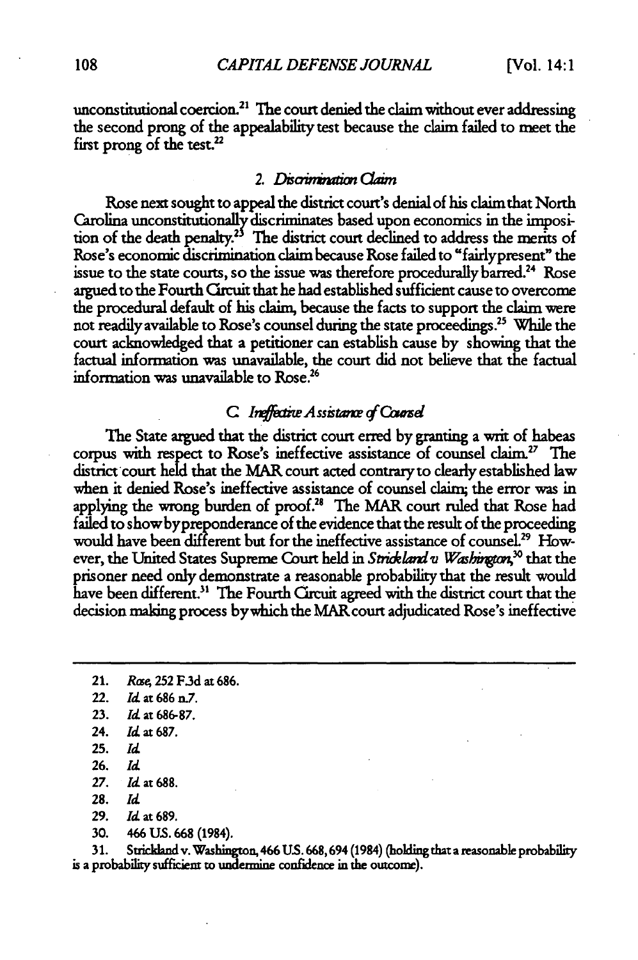unconstitutional coercion.<sup>21</sup> The court denied the claim without ever addressing the second prong of the appealability test because the claim failed to meet the **first** prong of the **test.**

#### *2. Disarit m CaiM*

Rose next sought to appeal the district court's denial of his claim that North Carolina unconstitutionally discriminates based upon economics in the imposition of the death penalty.<sup>25</sup> The district court declined to address the merits of Rose's economic discrimination claim because Rose failed to "fairlypresent" the issue to the state courts, so the issue was therefore procedurally barred.<sup>24</sup> Rose argued to the Fourth Caruit that he had established sufficient cause to overcome the procedural default of his claim, because the facts to support the claim were not readily available to Rose's counsel during the state proceedings." While the court acknowledged that a petitioner can establish cause by showing that the factual information was unavailable, the court did not believe that the factual information was unavailable to Rose.<sup>26</sup>

## C. Ineffective Assistance of Counsel

The State argued that the district court erred by granting a writ of habeas corpus with respect to Rose's ineffective assistance of counsel claim.27 The district court held that the MAR court acted contraryto dearly established law when it denied Rose's ineffective assistance of counsel claim; the error was in applying the wrong burden of proof.<sup>28</sup> The MAR court ruled that Rose had failed to show by preponderance of the evidence that the result of the proceeding would have been different but for the ineffective assistance of counsel.<sup>29</sup> However, the United States Supreme Court held in Strickland v Washington,<sup>30</sup> that the prisoner need only demonstrate a reasonable probability that the result would have been different.<sup>31</sup> The Fourth Circuit agreed with the district court that the decision making process bywhich the MAR court adjudicated Rose's ineffective

21. *Rcse* 252 F.3d at 686.

- 29. Id at 689.
- **30.** 466 **US. 668** (1984).

**31.** Strickland v. Washington, 466 **US. 668,694** (1984) (holding that a reasonabe probabiity is a probability sufficient to undermine confidence in the outcome).

<sup>22.</sup> **Id at** 686 n.7.

**<sup>23.</sup>** Id at **686-87.**

<sup>24.</sup> **Id** at **687.**

<sup>25.</sup> *Id*

**<sup>26.</sup>** *Id*

**<sup>27.</sup> Id at 688.**

**<sup>28.</sup>** *Id*